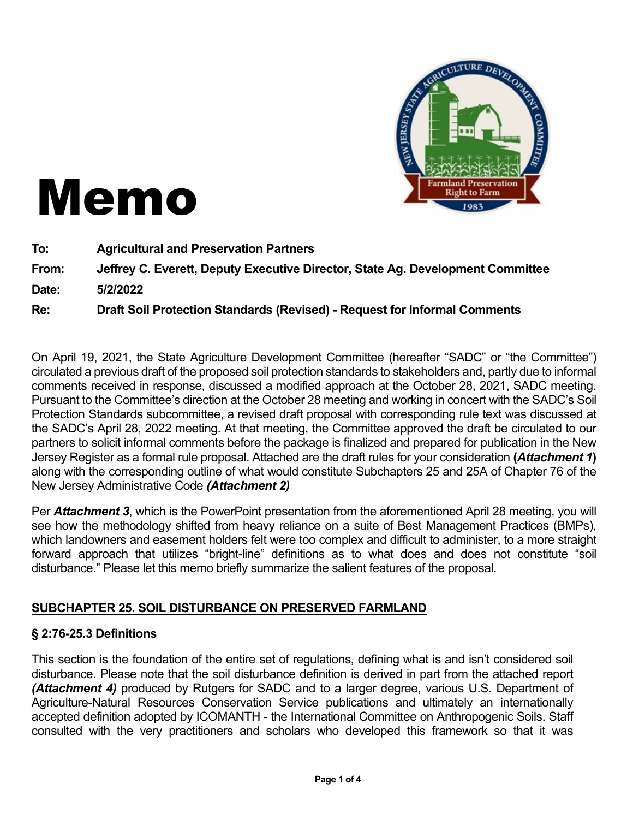

# Memo

| To:   | <b>Agricultural and Preservation Partners</b>                                  |
|-------|--------------------------------------------------------------------------------|
| From: | Jeffrey C. Everett, Deputy Executive Director, State Ag. Development Committee |
| Date: | 5/2/2022                                                                       |
| Re:   | Draft Soil Protection Standards (Revised) - Request for Informal Comments      |

On April 19, 2021, the State Agriculture Development Committee (hereafter "SADC" or "the Committee") circulated a previous draft of the proposed soil protection standards to stakeholders and, partly due to informal comments received in response, discussed a modified approach at the October 28, 2021, SADC meeting. Pursuant to the Committee's direction at the October 28 meeting and working in concert with the SADC's Soil Protection Standards subcommittee, a revised draft proposal with corresponding rule text was discussed at the SADC's April 28, 2022 meeting. At that meeting, the Committee approved the draft be circulated to our partners to solicit informal comments before the package is finalized and prepared for publication in the New Jersey Register as a formal rule proposal. Attached are the draft rules for your consideration **(***Attachment 1***)** along with the corresponding outline of what would constitute Subchapters 25 and 25A of Chapter 76 of the New Jersey Administrative Code *(Attachment 2)*

Per *Attachment 3*, which is the PowerPoint presentation from the aforementioned April 28 meeting, you will see how the methodology shifted from heavy reliance on a suite of Best Management Practices (BMPs), which landowners and easement holders felt were too complex and difficult to administer, to a more straight forward approach that utilizes "bright-line" definitions as to what does and does not constitute "soil disturbance." Please let this memo briefly summarize the salient features of the proposal.

#### **SUBCHAPTER 25. SOIL DISTURBANCE ON PRESERVED FARMLAND**

#### **§ 2:76-25.3 Definitions**

This section is the foundation of the entire set of regulations, defining what is and isn't considered soil disturbance. Please note that the soil disturbance definition is derived in part from the attached report *(Attachment 4)* produced by Rutgers for SADC and to a larger degree, various U.S. Department of Agriculture-Natural Resources Conservation Service publications and ultimately an internationally accepted definition adopted by ICOMANTH - the International Committee on Anthropogenic Soils. Staff consulted with the very practitioners and scholars who developed this framework so that it was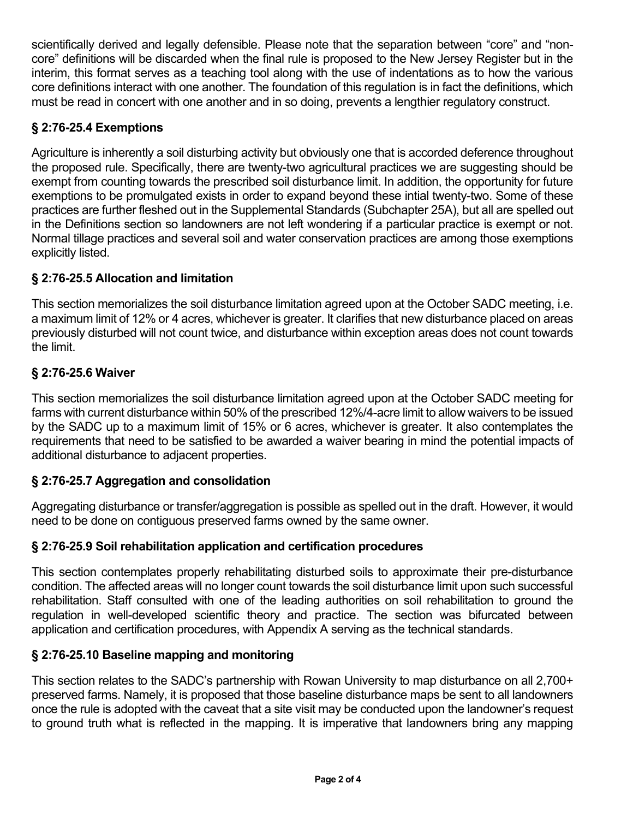scientifically derived and legally defensible. Please note that the separation between "core" and "noncore" definitions will be discarded when the final rule is proposed to the New Jersey Register but in the interim, this format serves as a teaching tool along with the use of indentations as to how the various core definitions interact with one another. The foundation of this regulation is in fact the definitions, which must be read in concert with one another and in so doing, prevents a lengthier regulatory construct.

# **§ 2:76-25.4 Exemptions**

Agriculture is inherently a soil disturbing activity but obviously one that is accorded deference throughout the proposed rule. Specifically, there are twenty-two agricultural practices we are suggesting should be exempt from counting towards the prescribed soil disturbance limit. In addition, the opportunity for future exemptions to be promulgated exists in order to expand beyond these intial twenty-two. Some of these practices are further fleshed out in the Supplemental Standards (Subchapter 25A), but all are spelled out in the Definitions section so landowners are not left wondering if a particular practice is exempt or not. Normal tillage practices and several soil and water conservation practices are among those exemptions explicitly listed.

# **§ 2:76-25.5 Allocation and limitation**

This section memorializes the soil disturbance limitation agreed upon at the October SADC meeting, i.e. a maximum limit of 12% or 4 acres, whichever is greater. It clarifies that new disturbance placed on areas previously disturbed will not count twice, and disturbance within exception areas does not count towards the limit.

# **§ 2:76-25.6 Waiver**

This section memorializes the soil disturbance limitation agreed upon at the October SADC meeting for farms with current disturbance within 50% of the prescribed 12%/4-acre limit to allow waivers to be issued by the SADC up to a maximum limit of 15% or 6 acres, whichever is greater. It also contemplates the requirements that need to be satisfied to be awarded a waiver bearing in mind the potential impacts of additional disturbance to adjacent properties.

# **§ 2:76-25.7 Aggregation and consolidation**

Aggregating disturbance or transfer/aggregation is possible as spelled out in the draft. However, it would need to be done on contiguous preserved farms owned by the same owner.

#### **§ 2:76-25.9 Soil rehabilitation application and certification procedures**

This section contemplates properly rehabilitating disturbed soils to approximate their pre-disturbance condition. The affected areas will no longer count towards the soil disturbance limit upon such successful rehabilitation. Staff consulted with one of the leading authorities on soil rehabilitation to ground the regulation in well-developed scientific theory and practice. The section was bifurcated between application and certification procedures, with Appendix A serving as the technical standards.

#### **§ 2:76-25.10 Baseline mapping and monitoring**

This section relates to the SADC's partnership with Rowan University to map disturbance on all 2,700+ preserved farms. Namely, it is proposed that those baseline disturbance maps be sent to all landowners once the rule is adopted with the caveat that a site visit may be conducted upon the landowner's request to ground truth what is reflected in the mapping. It is imperative that landowners bring any mapping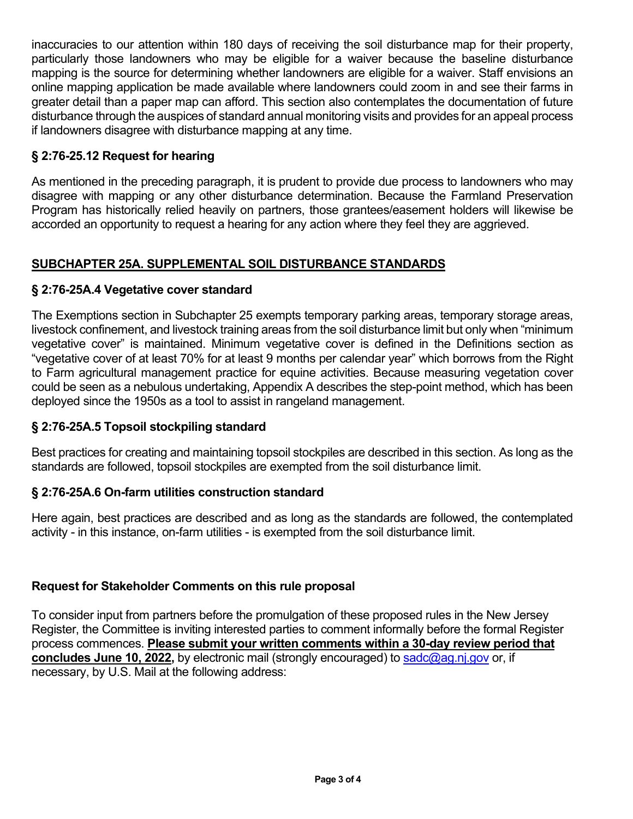inaccuracies to our attention within 180 days of receiving the soil disturbance map for their property, particularly those landowners who may be eligible for a waiver because the baseline disturbance mapping is the source for determining whether landowners are eligible for a waiver. Staff envisions an online mapping application be made available where landowners could zoom in and see their farms in greater detail than a paper map can afford. This section also contemplates the documentation of future disturbance through the auspices of standard annual monitoring visits and provides for an appeal process if landowners disagree with disturbance mapping at any time.

#### **§ 2:76-25.12 Request for hearing**

As mentioned in the preceding paragraph, it is prudent to provide due process to landowners who may disagree with mapping or any other disturbance determination. Because the Farmland Preservation Program has historically relied heavily on partners, those grantees/easement holders will likewise be accorded an opportunity to request a hearing for any action where they feel they are aggrieved.

#### **SUBCHAPTER 25A. SUPPLEMENTAL SOIL DISTURBANCE STANDARDS**

#### **§ 2:76-25A.4 Vegetative cover standard**

The Exemptions section in Subchapter 25 exempts temporary parking areas, temporary storage areas, livestock confinement, and livestock training areas from the soil disturbance limit but only when "minimum vegetative cover" is maintained. Minimum vegetative cover is defined in the Definitions section as "vegetative cover of at least 70% for at least 9 months per calendar year" which borrows from the Right to Farm agricultural management practice for equine activities. Because measuring vegetation cover could be seen as a nebulous undertaking, Appendix A describes the step-point method, which has been deployed since the 1950s as a tool to assist in rangeland management.

#### **§ 2:76-25A.5 Topsoil stockpiling standard**

Best practices for creating and maintaining topsoil stockpiles are described in this section. As long as the standards are followed, topsoil stockpiles are exempted from the soil disturbance limit.

#### **§ 2:76-25A.6 On-farm utilities construction standard**

Here again, best practices are described and as long as the standards are followed, the contemplated activity - in this instance, on-farm utilities - is exempted from the soil disturbance limit.

#### **Request for Stakeholder Comments on this rule proposal**

To consider input from partners before the promulgation of these proposed rules in the New Jersey Register, the Committee is inviting interested parties to comment informally before the formal Register process commences. **Please submit your written comments within a 30-day review period that concludes June 10, 2022,** by electronic mail (strongly encouraged) to sadc@ag.nj.gov or, if necessary, by U.S. Mail at the following address: